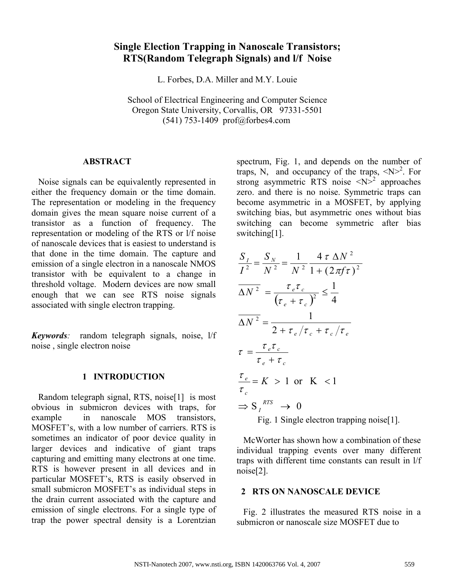# **Single Election Trapping in Nanoscale Transistors; RTS(Random Telegraph Signals) and l/f Noise**

L. Forbes, D.A. Miller and M.Y. Louie

School of Electrical Engineering and Computer Science Oregon State University, Corvallis, OR 97331-5501 (541) 753-1409 prof@forbes4.com

## **ABSTRACT**

 Noise signals can be equivalently represented in either the frequency domain or the time domain. The representation or modeling in the frequency domain gives the mean square noise current of a transistor as a function of frequency. The representation or modeling of the RTS or l/f noise of nanoscale devices that is easiest to understand is that done in the time domain. The capture and emission of a single electron in a nanoscale NMOS transistor with be equivalent to a change in threshold voltage. Modern devices are now small enough that we can see RTS noise signals associated with single electron trapping.

*Keywords:* random telegraph signals, noise, l/f noise , single electron noise

#### **1 INTRODUCTION**

 Random telegraph signal, RTS, noise[1] is most obvious in submicron devices with traps, for example in nanoscale MOS transistors, MOSFET's, with a low number of carriers. RTS is sometimes an indicator of poor device quality in larger devices and indicative of giant traps capturing and emitting many electrons at one time. RTS is however present in all devices and in particular MOSFET's, RTS is easily observed in small submicron MOSFET's as individual steps in the drain current associated with the capture and emission of single electrons. For a single type of trap the power spectral density is a Lorentzian spectrum, Fig. 1, and depends on the number of traps, N, and occupancy of the traps,  $\langle N \rangle^2$ . For strong asymmetric RTS noise  $\langle N \rangle^2$  approaches zero. and there is no noise. Symmetric traps can become asymmetric in a MOSFET, by applying switching bias, but asymmetric ones without bias switching can become symmetric after bias switching[1].

$$
\frac{S_I}{I^2} = \frac{S_N}{N^2} = \frac{1}{N^2} \frac{4 \tau \Delta N^2}{1 + (2 \pi f \tau)^2}
$$
  
\n
$$
\overline{\Delta N^2} = \frac{\tau_e \tau_c}{(\tau_e + \tau_c)^2} \le \frac{1}{4}
$$
  
\n
$$
\overline{\Delta N^2} = \frac{1}{2 + \tau_e / \tau_c + \tau_c / \tau_e}
$$
  
\n
$$
\tau = \frac{\tau_e \tau_c}{\tau_e + \tau_c}
$$
  
\n
$$
\frac{\tau_e}{\tau_c} = K > 1 \text{ or } K < 1
$$
  
\n
$$
\Rightarrow S_I^{RTS} \rightarrow 0
$$
  
\nFig. 1 Single electron trapping noise[1].

 McWorter has shown how a combination of these individual trapping events over many different traps with different time constants can result in l/f noise[2].

# **2 RTS ON NANOSCALE DEVICE**

 Fig. 2 illustrates the measured RTS noise in a submicron or nanoscale size MOSFET due to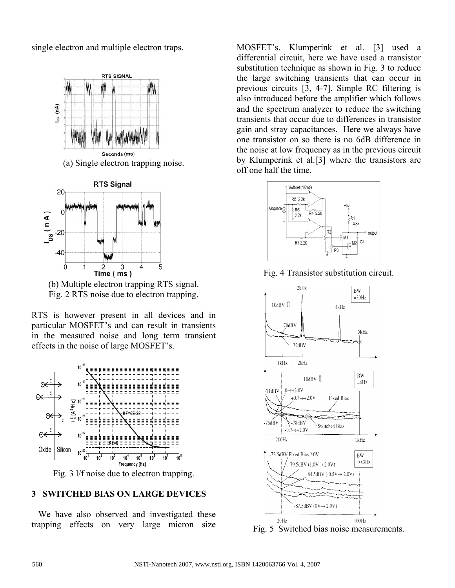single electron and multiple electron traps.



(a) Single electron trapping noise.



(b) Multiple electron trapping RTS signal. Fig. 2 RTS noise due to electron trapping.

RTS is however present in all devices and in particular MOSFET's and can result in transients in the measured noise and long term transient effects in the noise of large MOSFET's.



Fig. 3 l/f noise due to electron trapping.

# **3 SWITCHED BIAS ON LARGE DEVICES**

 We have also observed and investigated these trapping effects on very large micron size MOSFET's. Klumperink et al. [3] used a differential circuit, here we have used a transistor substitution technique as shown in Fig. 3 to reduce the large switching transients that can occur in previous circuits [3, 4-7]. Simple RC filtering is also introduced before the amplifier which follows and the spectrum analyzer to reduce the switching transients that occur due to differences in transistor gain and stray capacitances. Here we always have one transistor on so there is no 6dB difference in the noise at low frequency as in the previous circuit by Klumperink et al.[3] where the transistors are off one half the time.







Fig. 5 Switched bias noise measurements.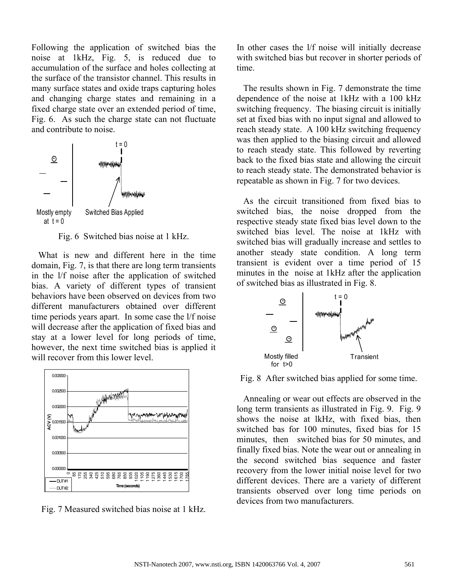Following the application of switched bias the noise at 1kHz, Fig. 5, is reduced due to accumulation of the surface and holes collecting at the surface of the transistor channel. This results in many surface states and oxide traps capturing holes and changing charge states and remaining in a fixed charge state over an extended period of time, Fig. 6. As such the charge state can not fluctuate and contribute to noise.



Fig. 6 Switched bias noise at 1 kHz.

 What is new and different here in the time domain, Fig. 7, is that there are long term transients in the l/f noise after the application of switched bias. A variety of different types of transient behaviors have been observed on devices from two different manufacturers obtained over different time periods years apart. In some case the l/f noise will decrease after the application of fixed bias and stay at a lower level for long periods of time, however, the next time switched bias is applied it will recover from this lower level.



Fig. 7 Measured switched bias noise at 1 kHz.

In other cases the l/f noise will initially decrease with switched bias but recover in shorter periods of time.

 The results shown in Fig. 7 demonstrate the time dependence of the noise at 1kHz with a 100 kHz switching frequency. The biasing circuit is initially set at fixed bias with no input signal and allowed to reach steady state. A 100 kHz switching frequency was then applied to the biasing circuit and allowed to reach steady state. This followed by reverting back to the fixed bias state and allowing the circuit to reach steady state. The demonstrated behavior is repeatable as shown in Fig. 7 for two devices.

 As the circuit transitioned from fixed bias to switched bias, the noise dropped from the respective steady state fixed bias level down to the switched bias level. The noise at 1kHz with switched bias will gradually increase and settles to another steady state condition. A long term transient is evident over a time period of 15 minutes in the noise at 1kHz after the application of switched bias as illustrated in Fig. 8.



Fig. 8 After switched bias applied for some time.

 Annealing or wear out effects are observed in the long term transients as illustrated in Fig. 9. Fig. 9 shows the noise at lkHz, with fixed bias, then switched bas for 100 minutes, fixed bias for 15 minutes, then switched bias for 50 minutes, and finally fixed bias. Note the wear out or annealing in the second switched bias sequence and faster recovery from the lower initial noise level for two different devices. There are a variety of different transients observed over long time periods on devices from two manufacturers.